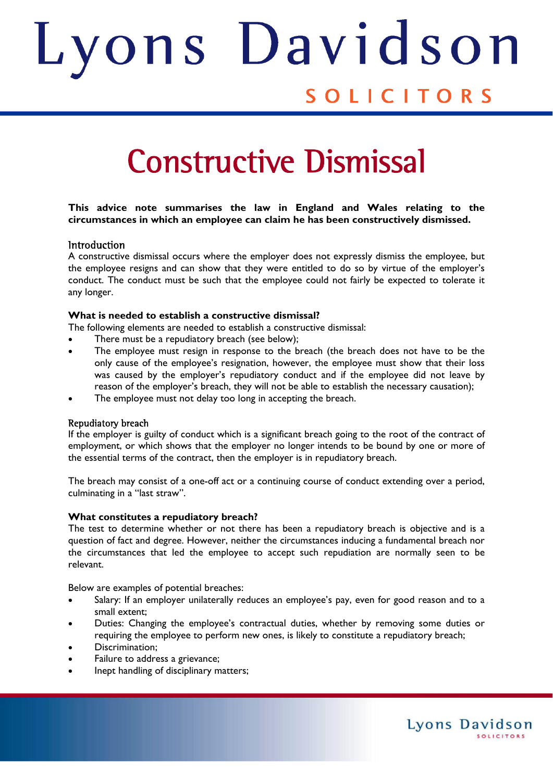# ons Davids Judith SOLICITORS

# Constructive Dismissal

# **This advice note summarises the law in England and Wales relating to the circumstances in which an employee can claim he has been constructively dismissed.**

# **Introduction**

A constructive dismissal occurs where the employer does not expressly dismiss the employee, but the employee resigns and can show that they were entitled to do so by virtue of the employer's conduct. The conduct must be such that the employee could not fairly be expected to tolerate it any longer.

#### **What is needed to establish a constructive dismissal?**

The following elements are needed to establish a constructive dismissal:

- There must be a repudiatory breach (see below);
- The employee must resign in response to the breach (the breach does not have to be the only cause of the employee's resignation, however, the employee must show that their loss was caused by the employer's repudiatory conduct and if the employee did not leave by reason of the employer's breach, they will not be able to establish the necessary causation);
- The employee must not delay too long in accepting the breach.

#### Repudiatory breach

If the employer is guilty of conduct which is a significant breach going to the root of the contract of employment, or which shows that the employer no longer intends to be bound by one or more of the essential terms of the contract, then the employer is in repudiatory breach.

The breach may consist of a one-off act or a continuing course of conduct extending over a period, culminating in a "last straw".

#### **What constitutes a repudiatory breach?**

The test to determine whether or not there has been a repudiatory breach is objective and is a question of fact and degree. However, neither the circumstances inducing a fundamental breach nor the circumstances that led the employee to accept such repudiation are normally seen to be relevant.

Below are examples of potential breaches:

- Salary: If an employer unilaterally reduces an employee's pay, even for good reason and to a small extent;
- Duties: Changing the employee's contractual duties, whether by removing some duties or requiring the employee to perform new ones, is likely to constitute a repudiatory breach;

Lyons Davidson

**SOLICITORS** 

- Discrimination;
- Failure to address a grievance;
- Inept handling of disciplinary matters;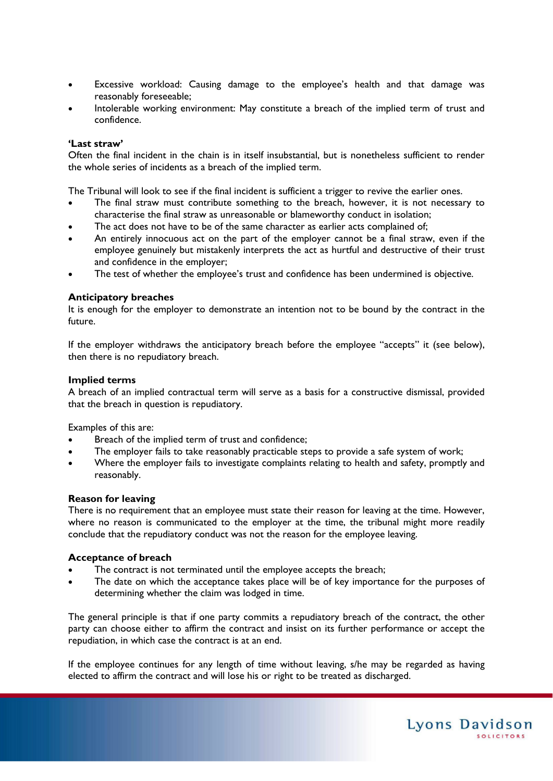- Excessive workload: Causing damage to the employee's health and that damage was reasonably foreseeable;
- Intolerable working environment: May constitute a breach of the implied term of trust and confidence.

#### **'Last straw'**

Often the final incident in the chain is in itself insubstantial, but is nonetheless sufficient to render the whole series of incidents as a breach of the implied term.

The Tribunal will look to see if the final incident is sufficient a trigger to revive the earlier ones.

- The final straw must contribute something to the breach, however, it is not necessary to characterise the final straw as unreasonable or blameworthy conduct in isolation;
- The act does not have to be of the same character as earlier acts complained of;
- An entirely innocuous act on the part of the employer cannot be a final straw, even if the employee genuinely but mistakenly interprets the act as hurtful and destructive of their trust and confidence in the employer;
- The test of whether the employee's trust and confidence has been undermined is objective.

## **Anticipatory breaches**

It is enough for the employer to demonstrate an intention not to be bound by the contract in the future.

If the employer withdraws the anticipatory breach before the employee "accepts" it (see below), then there is no repudiatory breach.

#### **Implied terms**

A breach of an implied contractual term will serve as a basis for a constructive dismissal, provided that the breach in question is repudiatory.

Examples of this are:

- Breach of the implied term of trust and confidence;
- The employer fails to take reasonably practicable steps to provide a safe system of work;
- Where the employer fails to investigate complaints relating to health and safety, promptly and reasonably.

#### **Reason for leaving**

There is no requirement that an employee must state their reason for leaving at the time. However, where no reason is communicated to the employer at the time, the tribunal might more readily conclude that the repudiatory conduct was not the reason for the employee leaving.

#### **Acceptance of breach**

- The contract is not terminated until the employee accepts the breach;
- The date on which the acceptance takes place will be of key importance for the purposes of determining whether the claim was lodged in time.

The general principle is that if one party commits a repudiatory breach of the contract, the other party can choose either to affirm the contract and insist on its further performance or accept the repudiation, in which case the contract is at an end.

If the employee continues for any length of time without leaving, s/he may be regarded as having elected to affirm the contract and will lose his or right to be treated as discharged.